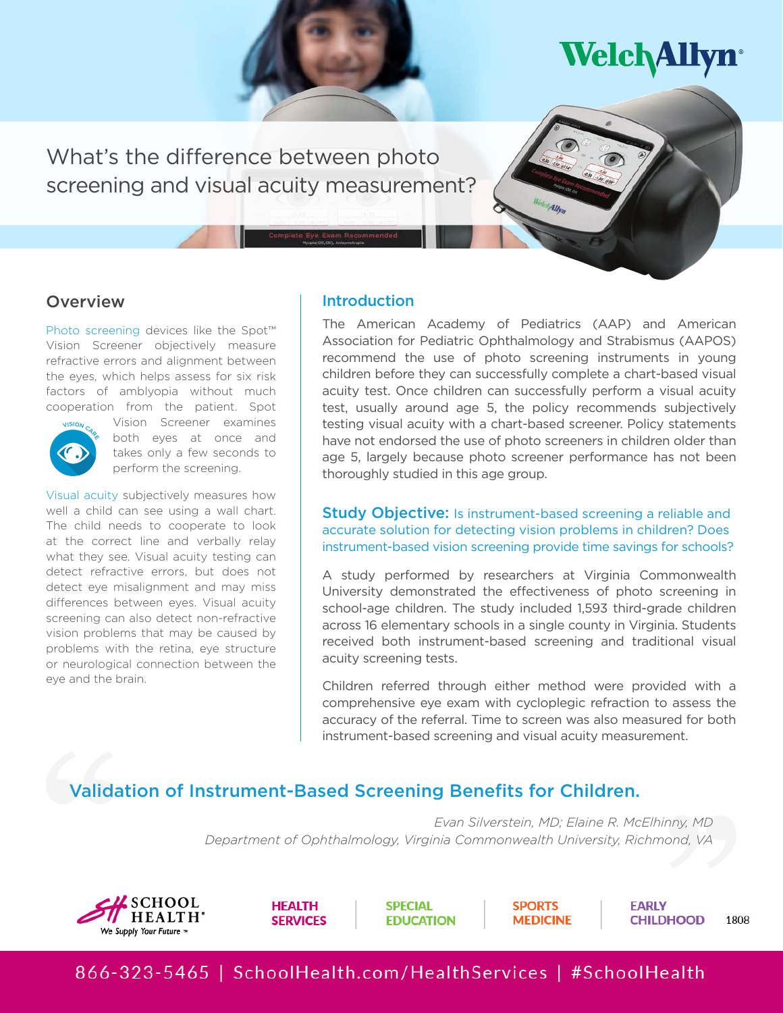**Welch Allyn** 

What's the difference between photo screening and visual acuity measurement?

# **Overview**

Photo screening devices like the Spot™ Vision Screener objectively measure refractive errors and alignment between the eyes, which helps assess for six risk factors of amblyopia without much cooperation from the patient. Spot



Vision Screener examines both eyes at once and takes only a few seconds to perform the screening.

Visual acuity subjectively measures how well a child can see using a wall chart. The child needs to cooperate to look at the correct line and verbally relay what they see. Visual acuity testing can detect refractive errors, but does not detect eye misalignment and may miss differences between eyes. Visual acuity screening can also detect non-refractive vision problems that may be caused by problems with the retina, eye structure or neurological connection between the eye and the brain.

# **Introduction**

The American Academy of Pediatrics (AAP) and American Association for Pediatric Ophthalmology and Strabismus (AAPOS) recommend the use of photo screening instruments in young children before they can successfully complete a chart-based visual acuity test. Once children can successfully perform a visual acuity test, usually around age 5, the policy recommends subjectively testing visual acuity with a chart-based screener. Policy statements have not endorsed the use of photo screeners in children older than age 5, largely because photo screener performance has not been thoroughly studied in this age group.

#### **Study Objective:** Is instrument-based screening a reliable and accurate solution for detecting vision problems in children? Does instrument-based vision screening provide time savings for schools?

A study performed by researchers at Virginia Commonwealth University demonstrated the effectiveness of photo screening in school-age children. The study included 1,593 third-grade children across 16 elementary schools in a single county in Virginia. Students received both instrument-based screening and traditional visual acuity screening tests.

Children referred through either method were provided with a comprehensive eye exam with cycloplegic refraction to assess the accuracy of the referral. Time to screen was also measured for both instrument-based screening and visual acuity measurement.

# Validation of Instrument-Based Screening Benefits for Children.

*Evan Silverstein, MD; Elaine R. McElhinny, MD Department of Ophthalmology, Virginia Commonwealth University, Richmond, VA*



**HEALTH SERVICES**  **SPECIAL EDUCATION**  **SPORTS MFDICINF** 

**EARLY CHILDHOOD** 

1808

866-323-5465 | SchoolHealth.com/HealthServices | #SchoolHealth